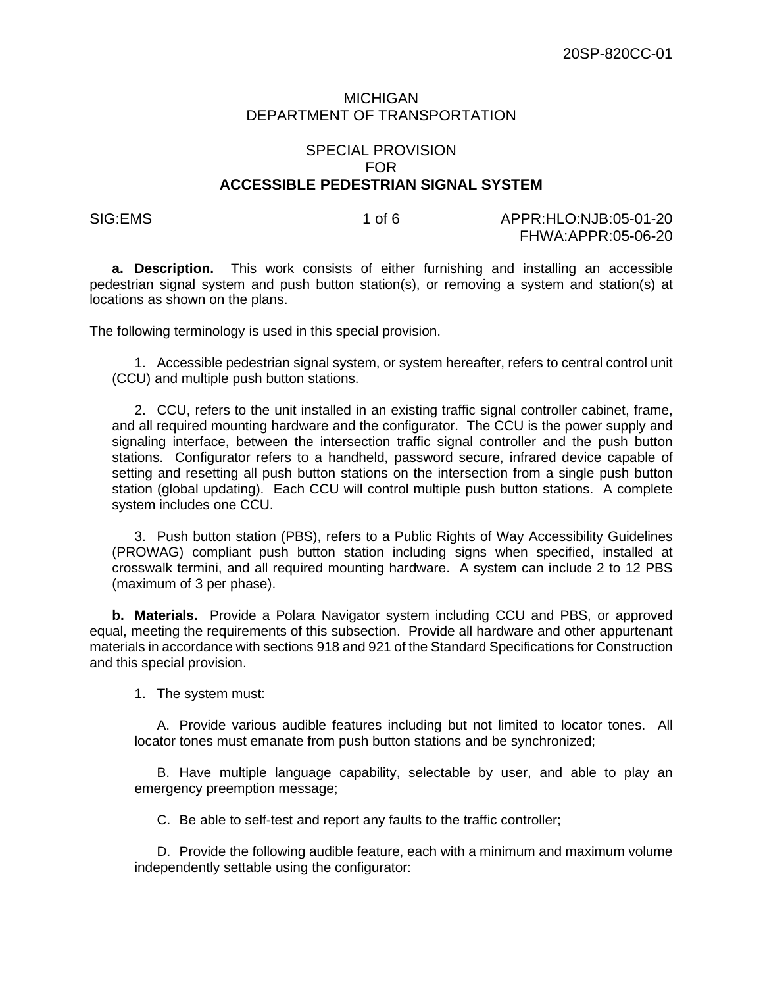## MICHIGAN DEPARTMENT OF TRANSPORTATION

## SPECIAL PROVISION FOR **ACCESSIBLE PEDESTRIAN SIGNAL SYSTEM**

SIG:EMS 1 of 6 APPR:HLO:NJB:05-01-20 FHWA:APPR:05-06-20

**a. Description.** This work consists of either furnishing and installing an accessible pedestrian signal system and push button station(s), or removing a system and station(s) at locations as shown on the plans.

The following terminology is used in this special provision.

1. Accessible pedestrian signal system, or system hereafter, refers to central control unit (CCU) and multiple push button stations.

2. CCU, refers to the unit installed in an existing traffic signal controller cabinet, frame, and all required mounting hardware and the configurator. The CCU is the power supply and signaling interface, between the intersection traffic signal controller and the push button stations. Configurator refers to a handheld, password secure, infrared device capable of setting and resetting all push button stations on the intersection from a single push button station (global updating). Each CCU will control multiple push button stations. A complete system includes one CCU.

3. Push button station (PBS), refers to a Public Rights of Way Accessibility Guidelines (PROWAG) compliant push button station including signs when specified, installed at crosswalk termini, and all required mounting hardware. A system can include 2 to 12 PBS (maximum of 3 per phase).

**b. Materials.** Provide a Polara Navigator system including CCU and PBS, or approved equal, meeting the requirements of this subsection. Provide all hardware and other appurtenant materials in accordance with sections 918 and 921 of the Standard Specifications for Construction and this special provision.

1. The system must:

A. Provide various audible features including but not limited to locator tones. All locator tones must emanate from push button stations and be synchronized;

B. Have multiple language capability, selectable by user, and able to play an emergency preemption message;

C. Be able to self-test and report any faults to the traffic controller;

D. Provide the following audible feature, each with a minimum and maximum volume independently settable using the configurator: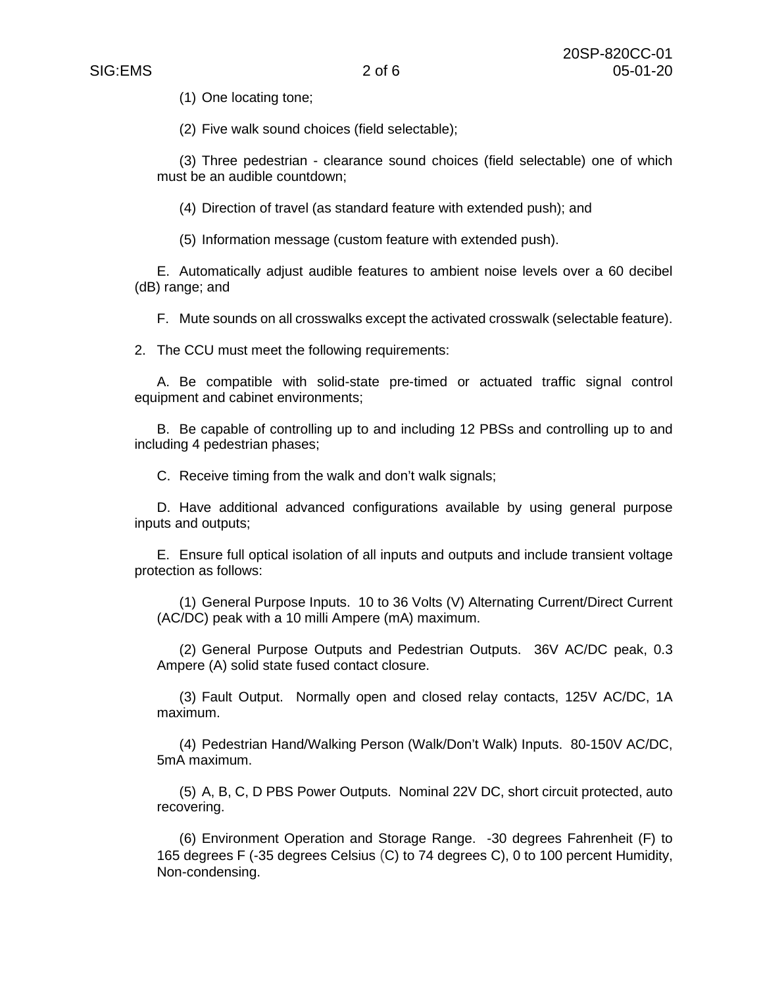(1) One locating tone;

(2) Five walk sound choices (field selectable);

(3) Three pedestrian - clearance sound choices (field selectable) one of which must be an audible countdown;

(4) Direction of travel (as standard feature with extended push); and

(5) Information message (custom feature with extended push).

E. Automatically adjust audible features to ambient noise levels over a 60 decibel (dB) range; and

F. Mute sounds on all crosswalks except the activated crosswalk (selectable feature).

2. The CCU must meet the following requirements:

A. Be compatible with solid-state pre-timed or actuated traffic signal control equipment and cabinet environments;

B. Be capable of controlling up to and including 12 PBSs and controlling up to and including 4 pedestrian phases;

C. Receive timing from the walk and don't walk signals;

D. Have additional advanced configurations available by using general purpose inputs and outputs;

E. Ensure full optical isolation of all inputs and outputs and include transient voltage protection as follows:

(1) General Purpose Inputs. 10 to 36 Volts (V) Alternating Current/Direct Current (AC/DC) peak with a 10 milli Ampere (mA) maximum.

(2) General Purpose Outputs and Pedestrian Outputs. 36V AC/DC peak, 0.3 Ampere (A) solid state fused contact closure.

(3) Fault Output. Normally open and closed relay contacts, 125V AC/DC, 1A maximum.

(4) Pedestrian Hand/Walking Person (Walk/Don't Walk) Inputs. 80-150V AC/DC, 5mA maximum.

(5) A, B, C, D PBS Power Outputs. Nominal 22V DC, short circuit protected, auto recovering.

(6) Environment Operation and Storage Range. -30 degrees Fahrenheit (F) to 165 degrees F (-35 degrees Celsius (C) to 74 degrees C), 0 to 100 percent Humidity, Non-condensing.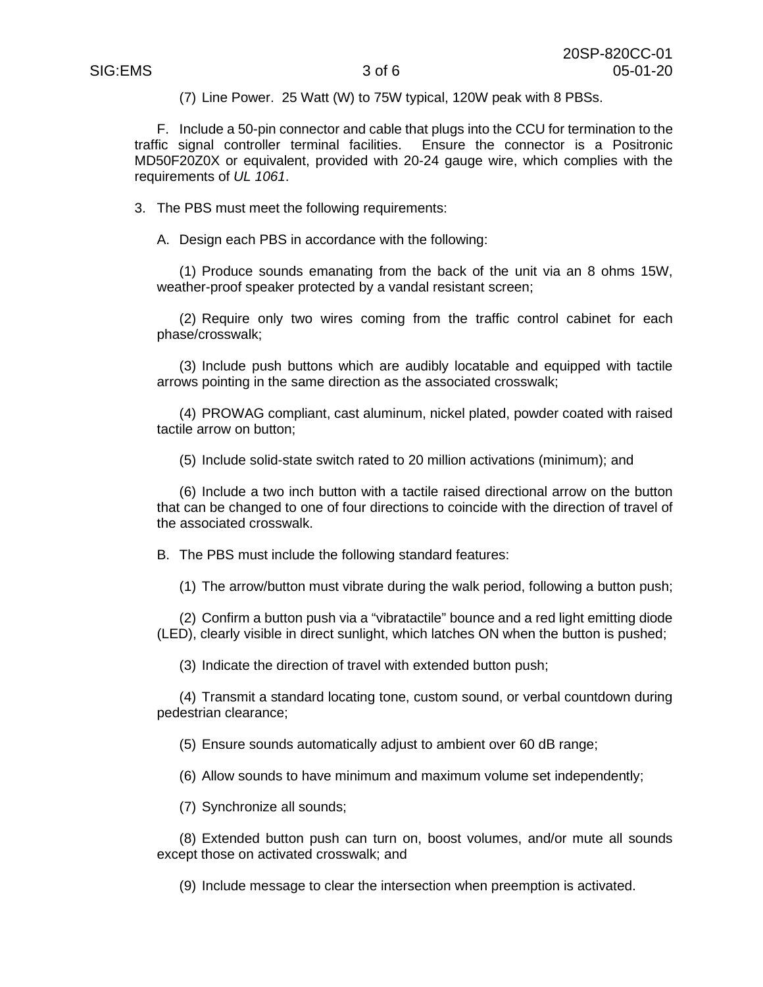(7) Line Power. 25 Watt (W) to 75W typical, 120W peak with 8 PBSs.

F. Include a 50-pin connector and cable that plugs into the CCU for termination to the traffic signal controller terminal facilities. Ensure the connector is a Positronic MD50F20Z0X or equivalent, provided with 20-24 gauge wire, which complies with the requirements of *UL 1061*.

3. The PBS must meet the following requirements:

A. Design each PBS in accordance with the following:

(1) Produce sounds emanating from the back of the unit via an 8 ohms 15W, weather-proof speaker protected by a vandal resistant screen;

(2) Require only two wires coming from the traffic control cabinet for each phase/crosswalk;

(3) Include push buttons which are audibly locatable and equipped with tactile arrows pointing in the same direction as the associated crosswalk;

(4) PROWAG compliant, cast aluminum, nickel plated, powder coated with raised tactile arrow on button;

(5) Include solid-state switch rated to 20 million activations (minimum); and

(6) Include a two inch button with a tactile raised directional arrow on the button that can be changed to one of four directions to coincide with the direction of travel of the associated crosswalk.

B. The PBS must include the following standard features:

(1) The arrow/button must vibrate during the walk period, following a button push;

(2) Confirm a button push via a "vibratactile" bounce and a red light emitting diode (LED), clearly visible in direct sunlight, which latches ON when the button is pushed;

(3) Indicate the direction of travel with extended button push;

(4) Transmit a standard locating tone, custom sound, or verbal countdown during pedestrian clearance;

(5) Ensure sounds automatically adjust to ambient over 60 dB range;

(6) Allow sounds to have minimum and maximum volume set independently;

(7) Synchronize all sounds;

(8) Extended button push can turn on, boost volumes, and/or mute all sounds except those on activated crosswalk; and

(9) Include message to clear the intersection when preemption is activated.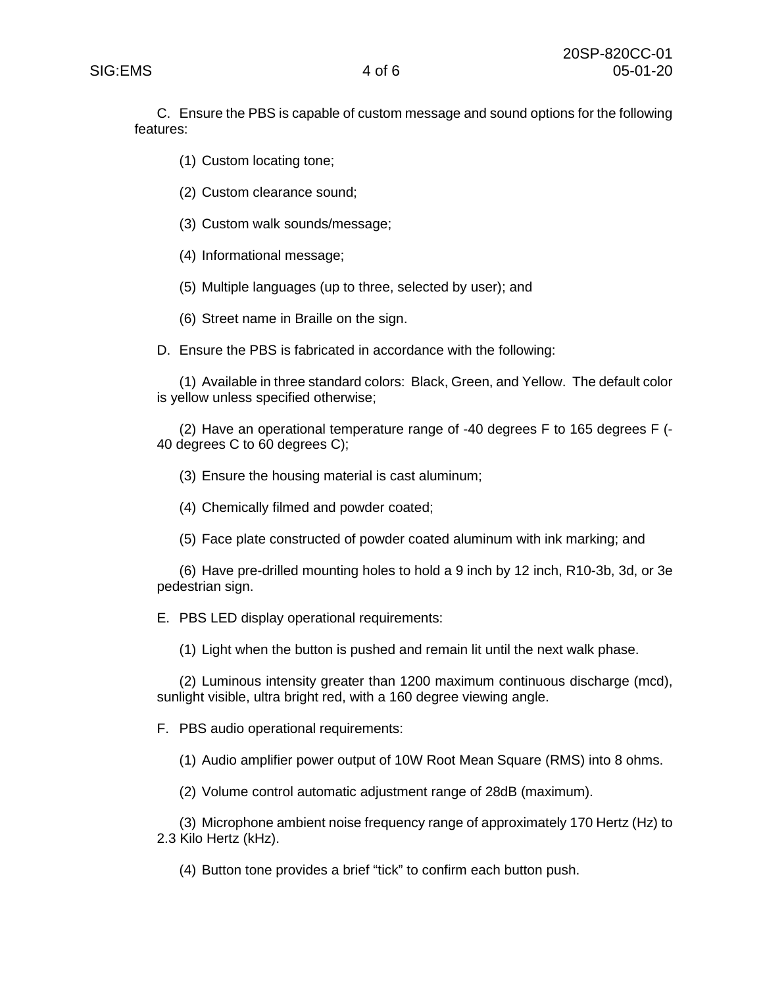C. Ensure the PBS is capable of custom message and sound options for the following features:

- (1) Custom locating tone;
- (2) Custom clearance sound;
- (3) Custom walk sounds/message;
- (4) Informational message;
- (5) Multiple languages (up to three, selected by user); and
- (6) Street name in Braille on the sign.
- D. Ensure the PBS is fabricated in accordance with the following:

(1) Available in three standard colors: Black, Green, and Yellow. The default color is yellow unless specified otherwise;

(2) Have an operational temperature range of -40 degrees F to 165 degrees F (- 40 degrees C to 60 degrees C);

- (3) Ensure the housing material is cast aluminum;
- (4) Chemically filmed and powder coated;
- (5) Face plate constructed of powder coated aluminum with ink marking; and

(6) Have pre-drilled mounting holes to hold a 9 inch by 12 inch, R10-3b, 3d, or 3e pedestrian sign.

E. PBS LED display operational requirements:

(1) Light when the button is pushed and remain lit until the next walk phase.

(2) Luminous intensity greater than 1200 maximum continuous discharge (mcd), sunlight visible, ultra bright red, with a 160 degree viewing angle.

F. PBS audio operational requirements:

(1) Audio amplifier power output of 10W Root Mean Square (RMS) into 8 ohms.

(2) Volume control automatic adjustment range of 28dB (maximum).

(3) Microphone ambient noise frequency range of approximately 170 Hertz (Hz) to 2.3 Kilo Hertz (kHz).

(4) Button tone provides a brief "tick" to confirm each button push.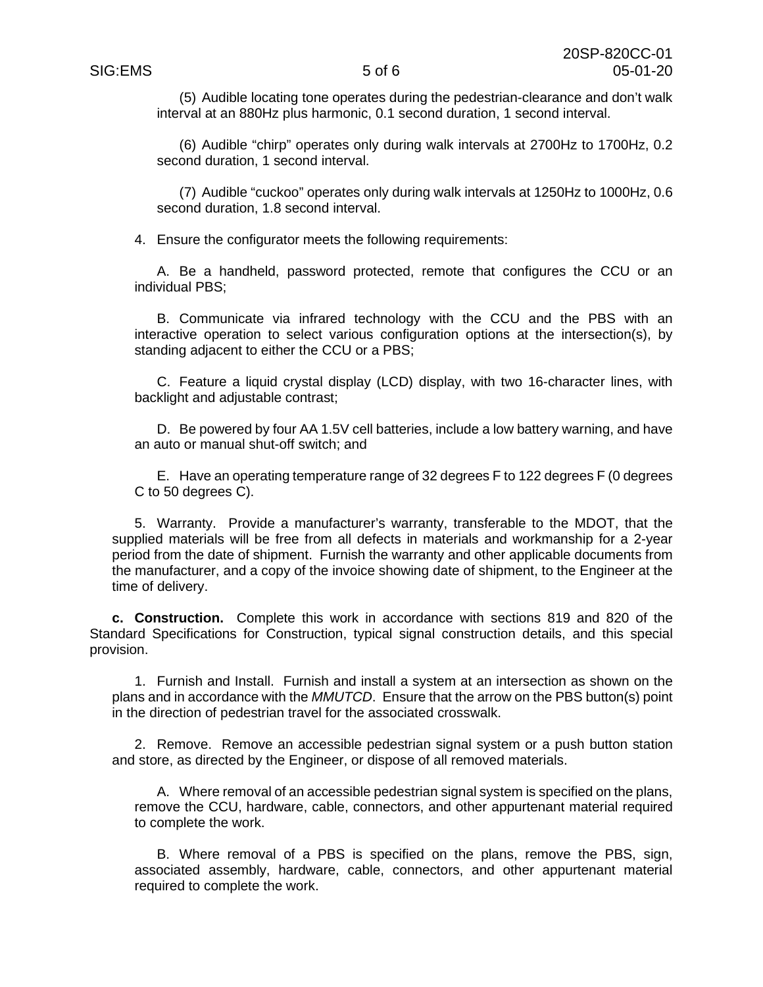(5) Audible locating tone operates during the pedestrian-clearance and don't walk interval at an 880Hz plus harmonic, 0.1 second duration, 1 second interval.

(6) Audible "chirp" operates only during walk intervals at 2700Hz to 1700Hz, 0.2 second duration, 1 second interval.

(7) Audible "cuckoo" operates only during walk intervals at 1250Hz to 1000Hz, 0.6 second duration, 1.8 second interval.

4. Ensure the configurator meets the following requirements:

A. Be a handheld, password protected, remote that configures the CCU or an individual PBS;

B. Communicate via infrared technology with the CCU and the PBS with an interactive operation to select various configuration options at the intersection(s), by standing adjacent to either the CCU or a PBS;

C. Feature a liquid crystal display (LCD) display, with two 16-character lines, with backlight and adjustable contrast;

D. Be powered by four AA 1.5V cell batteries, include a low battery warning, and have an auto or manual shut-off switch; and

E. Have an operating temperature range of 32 degrees F to 122 degrees F (0 degrees C to 50 degrees C).

5. Warranty. Provide a manufacturer's warranty, transferable to the MDOT, that the supplied materials will be free from all defects in materials and workmanship for a 2-year period from the date of shipment. Furnish the warranty and other applicable documents from the manufacturer, and a copy of the invoice showing date of shipment, to the Engineer at the time of delivery.

**c. Construction.** Complete this work in accordance with sections 819 and 820 of the Standard Specifications for Construction, typical signal construction details, and this special provision.

1. Furnish and Install. Furnish and install a system at an intersection as shown on the plans and in accordance with the *MMUTCD*. Ensure that the arrow on the PBS button(s) point in the direction of pedestrian travel for the associated crosswalk.

2. Remove. Remove an accessible pedestrian signal system or a push button station and store, as directed by the Engineer, or dispose of all removed materials.

A. Where removal of an accessible pedestrian signal system is specified on the plans, remove the CCU, hardware, cable, connectors, and other appurtenant material required to complete the work.

B. Where removal of a PBS is specified on the plans, remove the PBS, sign, associated assembly, hardware, cable, connectors, and other appurtenant material required to complete the work.